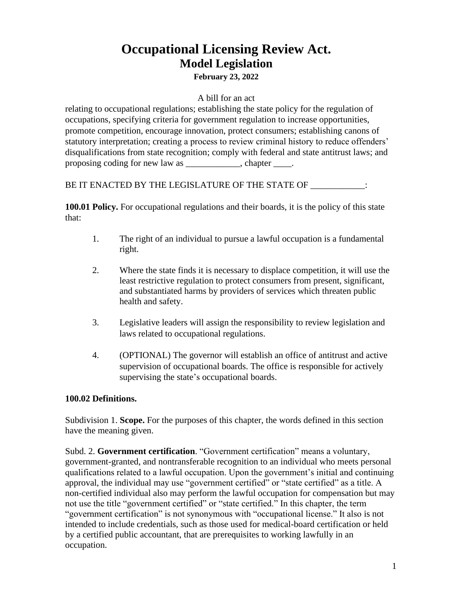# **Occupational Licensing Review Act. Model Legislation February 23, 2022**

#### A bill for an act

relating to occupational regulations; establishing the state policy for the regulation of occupations, specifying criteria for government regulation to increase opportunities, promote competition, encourage innovation, protect consumers; establishing canons of statutory interpretation; creating a process to review criminal history to reduce offenders' disqualifications from state recognition; comply with federal and state antitrust laws; and proposing coding for new law as extended to chapter the chapter  $\blacksquare$ .

BE IT ENACTED BY THE LEGISLATURE OF THE STATE OF \_\_\_\_\_\_\_\_\_\_\_:

**100.01 Policy.** For occupational regulations and their boards, it is the policy of this state that:

- 1. The right of an individual to pursue a lawful occupation is a fundamental right.
- 2. Where the state finds it is necessary to displace competition, it will use the least restrictive regulation to protect consumers from present, significant, and substantiated harms by providers of services which threaten public health and safety.
- 3. Legislative leaders will assign the responsibility to review legislation and laws related to occupational regulations.
- 4. (OPTIONAL) The governor will establish an office of antitrust and active supervision of occupational boards. The office is responsible for actively supervising the state's occupational boards.

#### **100.02 Definitions.**

Subdivision 1. **Scope.** For the purposes of this chapter, the words defined in this section have the meaning given.

Subd. 2. **Government certification**. "Government certification" means a voluntary, government-granted, and nontransferable recognition to an individual who meets personal qualifications related to a lawful occupation. Upon the government's initial and continuing approval, the individual may use "government certified" or "state certified" as a title. A non-certified individual also may perform the lawful occupation for compensation but may not use the title "government certified" or "state certified." In this chapter, the term "government certification" is not synonymous with "occupational license." It also is not intended to include credentials, such as those used for medical-board certification or held by a certified public accountant, that are prerequisites to working lawfully in an occupation.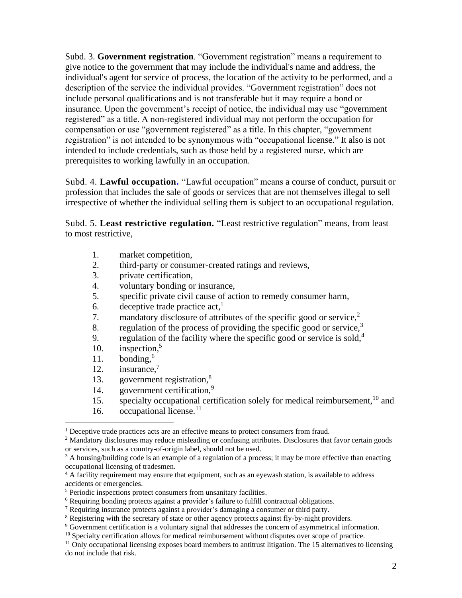Subd. 3. **Government registration**. "Government registration" means a requirement to give notice to the government that may include the individual's name and address, the individual's agent for service of process, the location of the activity to be performed, and a description of the service the individual provides. "Government registration" does not include personal qualifications and is not transferable but it may require a bond or insurance. Upon the government's receipt of notice, the individual may use "government registered" as a title. A non-registered individual may not perform the occupation for compensation or use "government registered" as a title. In this chapter, "government registration" is not intended to be synonymous with "occupational license." It also is not intended to include credentials, such as those held by a registered nurse, which are prerequisites to working lawfully in an occupation.

Subd. 4. **Lawful occupation.** "Lawful occupation" means a course of conduct, pursuit or profession that includes the sale of goods or services that are not themselves illegal to sell irrespective of whether the individual selling them is subject to an occupational regulation.

Subd. 5. **Least restrictive regulation.** "Least restrictive regulation" means, from least to most restrictive,

- 1. market competition,
- 2. third-party or consumer-created ratings and reviews,
- 3. private certification,
- 4. voluntary bonding or insurance,
- 5. specific private civil cause of action to remedy consumer harm,
- 6. deceptive trade practice  $act<sub>1</sub>$ <sup>1</sup>
- 7. mandatory disclosure of attributes of the specific good or service, 2
- 8. regulation of the process of providing the specific good or service, $3$
- 9. regulation of the facility where the specific good or service is sold, $4$
- 10. inspection, 5
- 11. bonding, 6
- 12. insurance, 7
- 13. government registration, 8
- 14. government certification,<sup>9</sup>
- 15. specialty occupational certification solely for medical reimbursement,  $10$  and
- 16. occupational license.<sup>11</sup>

<sup>&</sup>lt;sup>1</sup> Deceptive trade practices acts are an effective means to protect consumers from fraud.

<sup>&</sup>lt;sup>2</sup> Mandatory disclosures may reduce misleading or confusing attributes. Disclosures that favor certain goods or services, such as a country-of-origin label, should not be used.

<sup>&</sup>lt;sup>3</sup> A housing/building code is an example of a regulation of a process; it may be more effective than enacting occupational licensing of tradesmen.

<sup>&</sup>lt;sup>4</sup> A facility requirement may ensure that equipment, such as an eyewash station, is available to address accidents or emergencies.

<sup>5</sup> Periodic inspections protect consumers from unsanitary facilities.

<sup>6</sup> Requiring bonding protects against a provider's failure to fulfill contractual obligations.

<sup>7</sup> Requiring insurance protects against a provider's damaging a consumer or third party.

<sup>&</sup>lt;sup>8</sup> Registering with the secretary of state or other agency protects against fly-by-night providers.

<sup>&</sup>lt;sup>9</sup> Government certification is a voluntary signal that addresses the concern of asymmetrical information.

<sup>&</sup>lt;sup>10</sup> Specialty certification allows for medical reimbursement without disputes over scope of practice.

<sup>&</sup>lt;sup>11</sup> Only occupational licensing exposes board members to antitrust litigation. The 15 alternatives to licensing do not include that risk.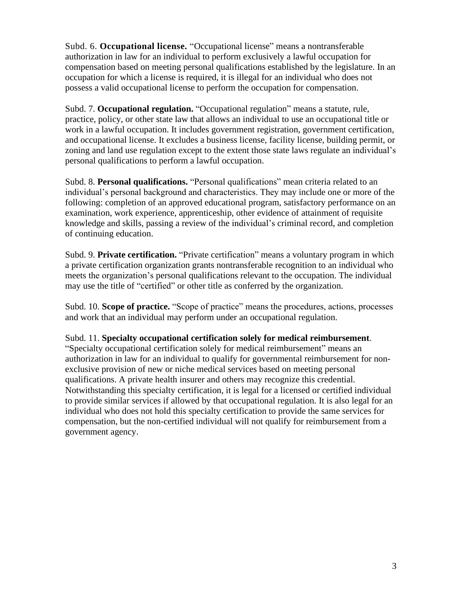Subd. 6. **Occupational license.** "Occupational license" means a nontransferable authorization in law for an individual to perform exclusively a lawful occupation for compensation based on meeting personal qualifications established by the legislature. In an occupation for which a license is required, it is illegal for an individual who does not possess a valid occupational license to perform the occupation for compensation.

Subd. 7. **Occupational regulation.** "Occupational regulation" means a statute, rule, practice, policy, or other state law that allows an individual to use an occupational title or work in a lawful occupation. It includes government registration, government certification, and occupational license. It excludes a business license, facility license, building permit, or zoning and land use regulation except to the extent those state laws regulate an individual's personal qualifications to perform a lawful occupation.

Subd. 8. **Personal qualifications.** "Personal qualifications" mean criteria related to an individual's personal background and characteristics. They may include one or more of the following: completion of an approved educational program, satisfactory performance on an examination, work experience, apprenticeship, other evidence of attainment of requisite knowledge and skills, passing a review of the individual's criminal record, and completion of continuing education.

Subd. 9. **Private certification.** "Private certification" means a voluntary program in which a private certification organization grants nontransferable recognition to an individual who meets the organization's personal qualifications relevant to the occupation. The individual may use the title of "certified" or other title as conferred by the organization.

Subd. 10. **Scope of practice.** "Scope of practice" means the procedures, actions, processes and work that an individual may perform under an occupational regulation.

Subd. 11. **Specialty occupational certification solely for medical reimbursement**. "Specialty occupational certification solely for medical reimbursement" means an authorization in law for an individual to qualify for governmental reimbursement for nonexclusive provision of new or niche medical services based on meeting personal qualifications. A private health insurer and others may recognize this credential. Notwithstanding this specialty certification, it is legal for a licensed or certified individual to provide similar services if allowed by that occupational regulation. It is also legal for an individual who does not hold this specialty certification to provide the same services for compensation, but the non-certified individual will not qualify for reimbursement from a government agency.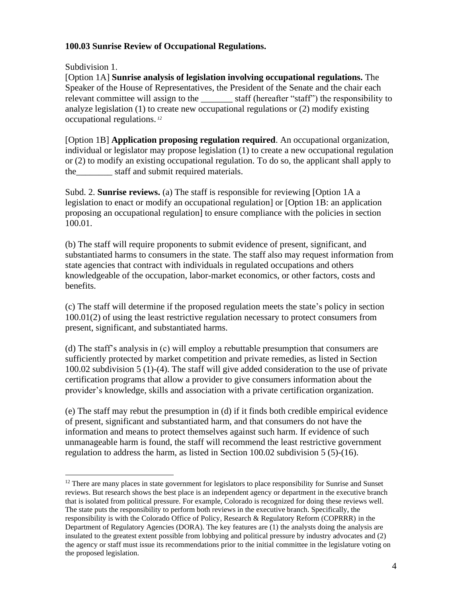#### **100.03 Sunrise Review of Occupational Regulations.**

Subdivision 1.

[Option 1A] **Sunrise analysis of legislation involving occupational regulations.** The Speaker of the House of Representatives, the President of the Senate and the chair each relevant committee will assign to the staff (hereafter "staff") the responsibility to analyze legislation (1) to create new occupational regulations or (2) modify existing occupational regulations. *12*

[Option 1B] **Application proposing regulation required**. An occupational organization, individual or legislator may propose legislation (1) to create a new occupational regulation or (2) to modify an existing occupational regulation. To do so, the applicant shall apply to the staff and submit required materials.

Subd. 2. **Sunrise reviews.** (a) The staff is responsible for reviewing [Option 1A a legislation to enact or modify an occupational regulation] or [Option 1B: an application proposing an occupational regulation] to ensure compliance with the policies in section 100.01.

(b) The staff will require proponents to submit evidence of present, significant, and substantiated harms to consumers in the state. The staff also may request information from state agencies that contract with individuals in regulated occupations and others knowledgeable of the occupation, labor-market economics, or other factors, costs and benefits.

(c) The staff will determine if the proposed regulation meets the state's policy in section 100.01(2) of using the least restrictive regulation necessary to protect consumers from present, significant, and substantiated harms.

(d) The staff's analysis in (c) will employ a rebuttable presumption that consumers are sufficiently protected by market competition and private remedies, as listed in Section 100.02 subdivision 5 (1)-(4). The staff will give added consideration to the use of private certification programs that allow a provider to give consumers information about the provider's knowledge, skills and association with a private certification organization.

(e) The staff may rebut the presumption in (d) if it finds both credible empirical evidence of present, significant and substantiated harm, and that consumers do not have the information and means to protect themselves against such harm. If evidence of such unmanageable harm is found, the staff will recommend the least restrictive government regulation to address the harm, as listed in Section 100.02 subdivision 5 (5)-(16).

<sup>&</sup>lt;sup>12</sup> There are many places in state government for legislators to place responsibility for Sunrise and Sunset reviews. But research shows the best place is an independent agency or department in the executive branch that is isolated from political pressure. For example, Colorado is recognized for doing these reviews well. The state puts the responsibility to perform both reviews in the executive branch. Specifically, the responsibility is with the Colorado Office of Policy, Research & Regulatory Reform (COPRRR) in the Department of Regulatory Agencies (DORA). The key features are (1) the analysts doing the analysis are insulated to the greatest extent possible from lobbying and political pressure by industry advocates and (2) the agency or staff must issue its recommendations prior to the initial committee in the legislature voting on the proposed legislation.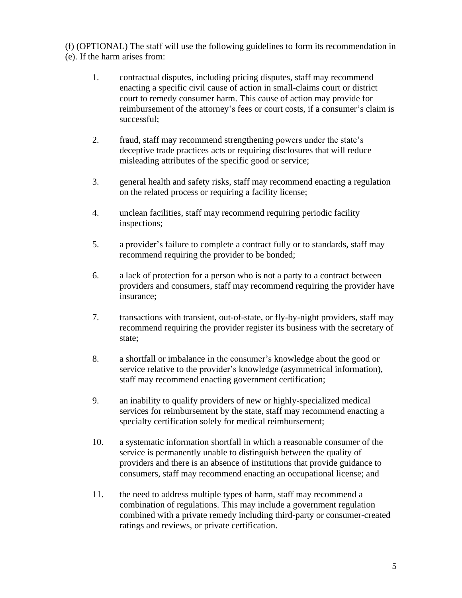(f) (OPTIONAL) The staff will use the following guidelines to form its recommendation in (e). If the harm arises from:

- 1. contractual disputes, including pricing disputes, staff may recommend enacting a specific civil cause of action in small-claims court or district court to remedy consumer harm. This cause of action may provide for reimbursement of the attorney's fees or court costs, if a consumer's claim is successful;
- 2. fraud, staff may recommend strengthening powers under the state's deceptive trade practices acts or requiring disclosures that will reduce misleading attributes of the specific good or service;
- 3. general health and safety risks, staff may recommend enacting a regulation on the related process or requiring a facility license;
- 4. unclean facilities, staff may recommend requiring periodic facility inspections;
- 5. a provider's failure to complete a contract fully or to standards, staff may recommend requiring the provider to be bonded;
- 6. a lack of protection for a person who is not a party to a contract between providers and consumers, staff may recommend requiring the provider have insurance;
- 7. transactions with transient, out-of-state, or fly-by-night providers, staff may recommend requiring the provider register its business with the secretary of state;
- 8. a shortfall or imbalance in the consumer's knowledge about the good or service relative to the provider's knowledge (asymmetrical information), staff may recommend enacting government certification;
- 9. an inability to qualify providers of new or highly-specialized medical services for reimbursement by the state, staff may recommend enacting a specialty certification solely for medical reimbursement;
- 10. a systematic information shortfall in which a reasonable consumer of the service is permanently unable to distinguish between the quality of providers and there is an absence of institutions that provide guidance to consumers, staff may recommend enacting an occupational license; and
- 11. the need to address multiple types of harm, staff may recommend a combination of regulations. This may include a government regulation combined with a private remedy including third-party or consumer-created ratings and reviews, or private certification.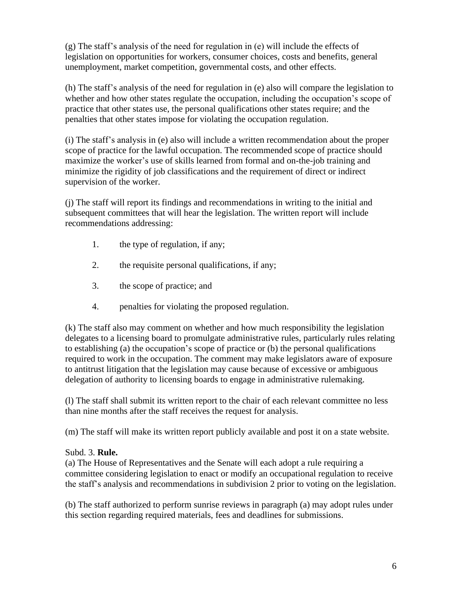(g) The staff's analysis of the need for regulation in (e) will include the effects of legislation on opportunities for workers, consumer choices, costs and benefits, general unemployment, market competition, governmental costs, and other effects.

(h) The staff's analysis of the need for regulation in (e) also will compare the legislation to whether and how other states regulate the occupation, including the occupation's scope of practice that other states use, the personal qualifications other states require; and the penalties that other states impose for violating the occupation regulation.

(i) The staff's analysis in (e) also will include a written recommendation about the proper scope of practice for the lawful occupation. The recommended scope of practice should maximize the worker's use of skills learned from formal and on-the-job training and minimize the rigidity of job classifications and the requirement of direct or indirect supervision of the worker.

(j) The staff will report its findings and recommendations in writing to the initial and subsequent committees that will hear the legislation. The written report will include recommendations addressing:

- 1. the type of regulation, if any;
- 2. the requisite personal qualifications, if any;
- 3. the scope of practice; and
- 4. penalties for violating the proposed regulation.

(k) The staff also may comment on whether and how much responsibility the legislation delegates to a licensing board to promulgate administrative rules, particularly rules relating to establishing (a) the occupation's scope of practice or (b) the personal qualifications required to work in the occupation. The comment may make legislators aware of exposure to antitrust litigation that the legislation may cause because of excessive or ambiguous delegation of authority to licensing boards to engage in administrative rulemaking.

(l) The staff shall submit its written report to the chair of each relevant committee no less than nine months after the staff receives the request for analysis.

(m) The staff will make its written report publicly available and post it on a state website.

#### Subd. 3. **Rule.**

(a) The House of Representatives and the Senate will each adopt a rule requiring a committee considering legislation to enact or modify an occupational regulation to receive the staff's analysis and recommendations in subdivision 2 prior to voting on the legislation.

(b) The staff authorized to perform sunrise reviews in paragraph (a) may adopt rules under this section regarding required materials, fees and deadlines for submissions.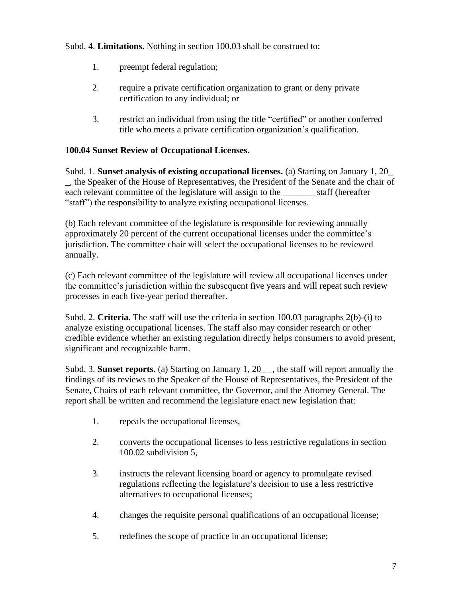Subd. 4. **Limitations.** Nothing in section 100.03 shall be construed to:

- 1. preempt federal regulation;
- 2. require a private certification organization to grant or deny private certification to any individual; or
- 3. restrict an individual from using the title "certified" or another conferred title who meets a private certification organization's qualification.

### **100.04 Sunset Review of Occupational Licenses.**

Subd. 1. **Sunset analysis of existing occupational licenses.** (a) Starting on January 1, 20\_ \_, the Speaker of the House of Representatives, the President of the Senate and the chair of each relevant committee of the legislature will assign to the staff (hereafter "staff") the responsibility to analyze existing occupational licenses.

(b) Each relevant committee of the legislature is responsible for reviewing annually approximately 20 percent of the current occupational licenses under the committee's jurisdiction. The committee chair will select the occupational licenses to be reviewed annually.

(c) Each relevant committee of the legislature will review all occupational licenses under the committee's jurisdiction within the subsequent five years and will repeat such review processes in each five-year period thereafter.

Subd. 2. **Criteria.** The staff will use the criteria in section 100.03 paragraphs 2(b)-(i) to analyze existing occupational licenses. The staff also may consider research or other credible evidence whether an existing regulation directly helps consumers to avoid present, significant and recognizable harm.

Subd. 3. **Sunset reports**. (a) Starting on January 1, 20\_ \_, the staff will report annually the findings of its reviews to the Speaker of the House of Representatives, the President of the Senate, Chairs of each relevant committee, the Governor, and the Attorney General. The report shall be written and recommend the legislature enact new legislation that:

- 1. repeals the occupational licenses,
- 2. converts the occupational licenses to less restrictive regulations in section 100.02 subdivision 5,
- 3. instructs the relevant licensing board or agency to promulgate revised regulations reflecting the legislature's decision to use a less restrictive alternatives to occupational licenses;
- 4. changes the requisite personal qualifications of an occupational license;
- 5. redefines the scope of practice in an occupational license;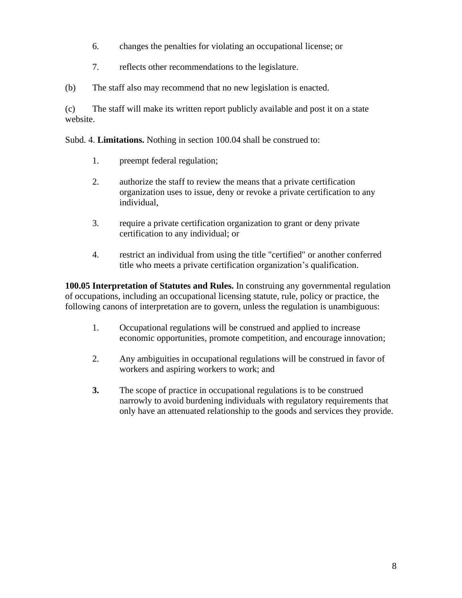- 6. changes the penalties for violating an occupational license; or
- 7. reflects other recommendations to the legislature.
- (b) The staff also may recommend that no new legislation is enacted.

(c) The staff will make its written report publicly available and post it on a state website.

Subd. 4. **Limitations.** Nothing in section 100.04 shall be construed to:

- 1. preempt federal regulation;
- 2. authorize the staff to review the means that a private certification organization uses to issue, deny or revoke a private certification to any individual,
- 3. require a private certification organization to grant or deny private certification to any individual; or
- 4. restrict an individual from using the title "certified" or another conferred title who meets a private certification organization's qualification.

**100.05 Interpretation of Statutes and Rules.** In construing any governmental regulation of occupations, including an occupational licensing statute, rule, policy or practice, the following canons of interpretation are to govern, unless the regulation is unambiguous:

- 1. Occupational regulations will be construed and applied to increase economic opportunities, promote competition, and encourage innovation;
- 2. Any ambiguities in occupational regulations will be construed in favor of workers and aspiring workers to work; and
- **3.** The scope of practice in occupational regulations is to be construed narrowly to avoid burdening individuals with regulatory requirements that only have an attenuated relationship to the goods and services they provide.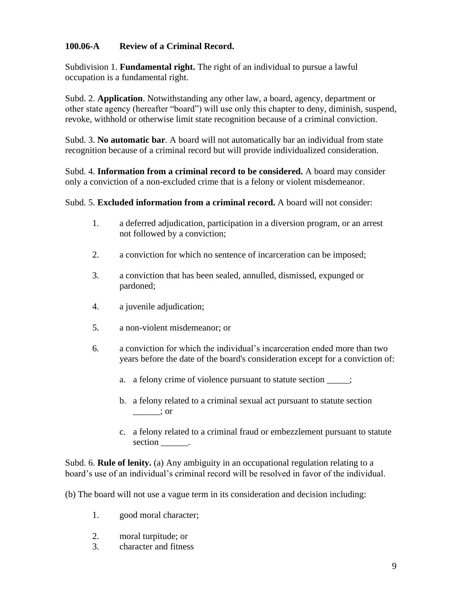#### **100.06-A Review of a Criminal Record.**

Subdivision 1. **Fundamental right.** The right of an individual to pursue a lawful occupation is a fundamental right.

Subd. 2. **Application**. Notwithstanding any other law, a board, agency, department or other state agency (hereafter "board") will use only this chapter to deny, diminish, suspend, revoke, withhold or otherwise limit state recognition because of a criminal conviction.

Subd. 3. **No automatic bar**. A board will not automatically bar an individual from state recognition because of a criminal record but will provide individualized consideration.

Subd. 4. **Information from a criminal record to be considered.** A board may consider only a conviction of a non-excluded crime that is a felony or violent misdemeanor.

Subd. 5. **Excluded information from a criminal record.** A board will not consider:

- 1. a deferred adjudication, participation in a diversion program, or an arrest not followed by a conviction;
- 2. a conviction for which no sentence of incarceration can be imposed;
- 3. a conviction that has been sealed, annulled, dismissed, expunged or pardoned;
- 4. a juvenile adjudication;
- 5. a non-violent misdemeanor; or
- 6. a conviction for which the individual's incarceration ended more than two years before the date of the board's consideration except for a conviction of:
	- a. a felony crime of violence pursuant to statute section  $\cdot$ ;
	- b. a felony related to a criminal sexual act pursuant to statute section  $\frac{\ }{}$   $\frac{\ }{}$ ; or
	- c. a felony related to a criminal fraud or embezzlement pursuant to statute section  $\qquad$ .

Subd. 6. **Rule of lenity.** (a) Any ambiguity in an occupational regulation relating to a board's use of an individual's criminal record will be resolved in favor of the individual.

(b) The board will not use a vague term in its consideration and decision including:

- 1. good moral character;
- 2. moral turpitude; or
- 3. character and fitness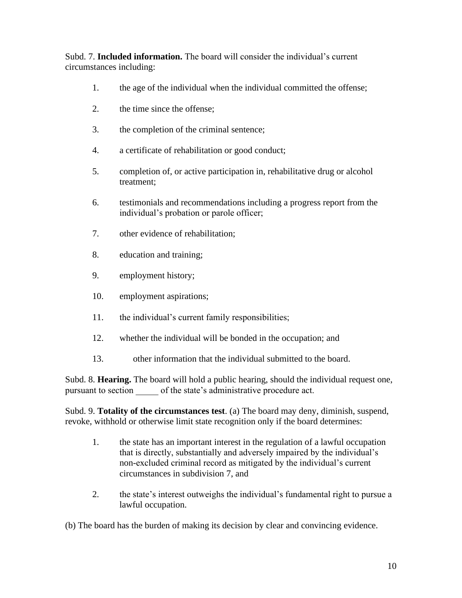Subd. 7. **Included information.** The board will consider the individual's current circumstances including:

- 1. the age of the individual when the individual committed the offense;
- 2. the time since the offense;
- 3. the completion of the criminal sentence;
- 4. a certificate of rehabilitation or good conduct;
- 5. completion of, or active participation in, rehabilitative drug or alcohol treatment;
- 6. testimonials and recommendations including a progress report from the individual's probation or parole officer;
- 7. other evidence of rehabilitation;
- 8. education and training;
- 9. employment history;
- 10. employment aspirations;
- 11. the individual's current family responsibilities;
- 12. whether the individual will be bonded in the occupation; and
- 13. other information that the individual submitted to the board.

Subd. 8. **Hearing.** The board will hold a public hearing, should the individual request one, pursuant to section of the state's administrative procedure act.

Subd. 9. **Totality of the circumstances test**. (a) The board may deny, diminish, suspend, revoke, withhold or otherwise limit state recognition only if the board determines:

- 1. the state has an important interest in the regulation of a lawful occupation that is directly, substantially and adversely impaired by the individual's non-excluded criminal record as mitigated by the individual's current circumstances in subdivision 7, and
- 2. the state's interest outweighs the individual's fundamental right to pursue a lawful occupation.

(b) The board has the burden of making its decision by clear and convincing evidence.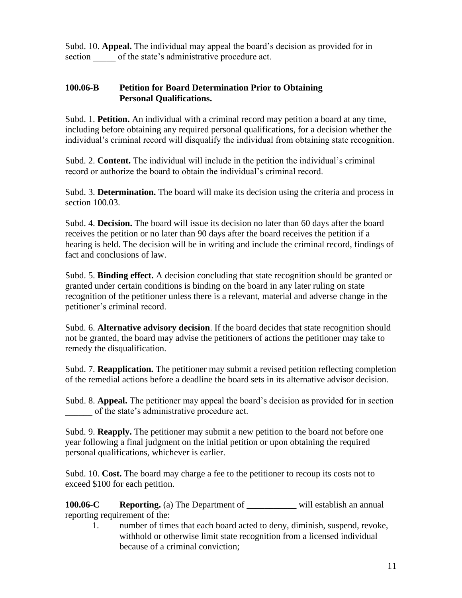Subd. 10. **Appeal.** The individual may appeal the board's decision as provided for in section of the state's administrative procedure act.

#### **100.06-B Petition for Board Determination Prior to Obtaining Personal Qualifications.**

Subd. 1. **Petition.** An individual with a criminal record may petition a board at any time, including before obtaining any required personal qualifications, for a decision whether the individual's criminal record will disqualify the individual from obtaining state recognition.

Subd. 2. **Content.** The individual will include in the petition the individual's criminal record or authorize the board to obtain the individual's criminal record.

Subd. 3. **Determination.** The board will make its decision using the criteria and process in section 100.03.

Subd. 4. **Decision.** The board will issue its decision no later than 60 days after the board receives the petition or no later than 90 days after the board receives the petition if a hearing is held. The decision will be in writing and include the criminal record, findings of fact and conclusions of law.

Subd. 5. **Binding effect.** A decision concluding that state recognition should be granted or granted under certain conditions is binding on the board in any later ruling on state recognition of the petitioner unless there is a relevant, material and adverse change in the petitioner's criminal record.

Subd. 6. **Alternative advisory decision**. If the board decides that state recognition should not be granted, the board may advise the petitioners of actions the petitioner may take to remedy the disqualification.

Subd. 7. **Reapplication.** The petitioner may submit a revised petition reflecting completion of the remedial actions before a deadline the board sets in its alternative advisor decision.

Subd. 8. **Appeal.** The petitioner may appeal the board's decision as provided for in section of the state's administrative procedure act.

Subd. 9. **Reapply.** The petitioner may submit a new petition to the board not before one year following a final judgment on the initial petition or upon obtaining the required personal qualifications, whichever is earlier.

Subd. 10. **Cost.** The board may charge a fee to the petitioner to recoup its costs not to exceed \$100 for each petition.

**100.06-C Reporting.** (a) The Department of \_\_\_\_\_\_\_\_\_\_\_ will establish an annual reporting requirement of the:

1. number of times that each board acted to deny, diminish, suspend, revoke, withhold or otherwise limit state recognition from a licensed individual because of a criminal conviction;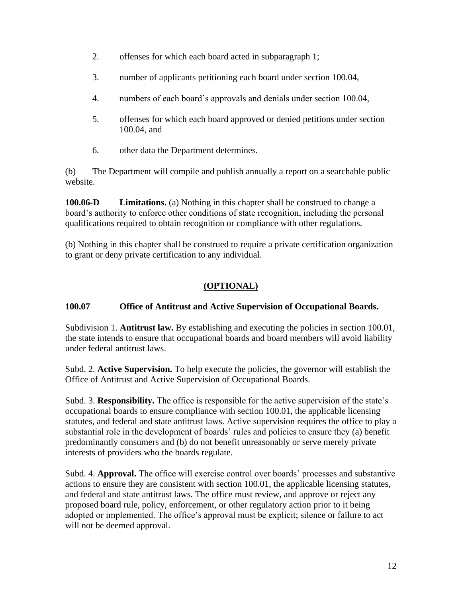- 2. offenses for which each board acted in subparagraph 1;
- 3. number of applicants petitioning each board under section 100.04,
- 4. numbers of each board's approvals and denials under section 100.04,
- 5. offenses for which each board approved or denied petitions under section 100.04, and
- 6. other data the Department determines.

(b) The Department will compile and publish annually a report on a searchable public website.

**100.06-D Limitations.** (a) Nothing in this chapter shall be construed to change a board's authority to enforce other conditions of state recognition, including the personal qualifications required to obtain recognition or compliance with other regulations.

(b) Nothing in this chapter shall be construed to require a private certification organization to grant or deny private certification to any individual.

# **(OPTIONAL)**

## **100.07 Office of Antitrust and Active Supervision of Occupational Boards.**

Subdivision 1. **Antitrust law.** By establishing and executing the policies in section 100.01, the state intends to ensure that occupational boards and board members will avoid liability under federal antitrust laws.

Subd. 2. **Active Supervision.** To help execute the policies, the governor will establish the Office of Antitrust and Active Supervision of Occupational Boards.

Subd. 3. **Responsibility.** The office is responsible for the active supervision of the state's occupational boards to ensure compliance with section 100.01, the applicable licensing statutes, and federal and state antitrust laws. Active supervision requires the office to play a substantial role in the development of boards' rules and policies to ensure they (a) benefit predominantly consumers and (b) do not benefit unreasonably or serve merely private interests of providers who the boards regulate.

Subd. 4. **Approval.** The office will exercise control over boards' processes and substantive actions to ensure they are consistent with section 100.01, the applicable licensing statutes, and federal and state antitrust laws. The office must review, and approve or reject any proposed board rule, policy, enforcement, or other regulatory action prior to it being adopted or implemented. The office's approval must be explicit; silence or failure to act will not be deemed approval.